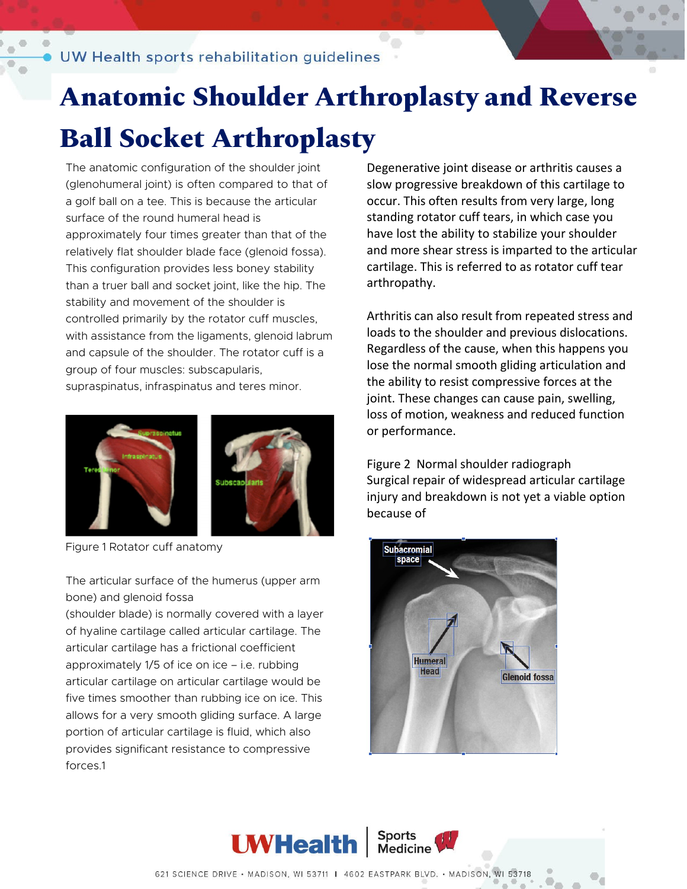# **Anatomic Shoulder Arthroplasty and Reverse**

### **Ball Socket Arthroplasty**

The anatomic configuration of the shoulder joint (glenohumeral joint) is often compared to that of a golf ball on a tee. This is because the articular surface of the round humeral head is approximately four times greater than that of the relatively flat shoulder blade face (glenoid fossa). This configuration provides less boney stability than a truer ball and socket joint, like the hip. The stability and movement of the shoulder is controlled primarily by the rotator cuff muscles, with assistance from the ligaments, glenoid labrum and capsule of the shoulder. The rotator cuff is a group of four muscles: subscapularis, supraspinatus, infraspinatus and teres minor.



Figure 1 Rotator cuff anatomy

The articular surface of the humerus (upper arm bone) and glenoid fossa

(shoulder blade) is normally covered with a layer of hyaline cartilage called articular cartilage. The articular cartilage has a frictional coefficient approximately 1/5 of ice on ice – i.e. rubbing articular cartilage on articular cartilage would be five times smoother than rubbing ice on ice. This allows for a very smooth gliding surface. A large portion of articular cartilage is fluid, which also provides significant resistance to compressive forces.1

Degenerative joint disease or arthritis causes a slow progressive breakdown of this cartilage to occur. This often results from very large, long standing rotator cuff tears, in which case you have lost the ability to stabilize your shoulder and more shear stress is imparted to the articular cartilage. This is referred to as rotator cuff tear arthropathy.

Arthritis can also result from repeated stress and loads to the shoulder and previous dislocations. Regardless of the cause, when this happens you lose the normal smooth gliding articulation and the ability to resist compressive forces at the joint. These changes can cause pain, swelling, loss of motion, weakness and reduced function or performance.

Figure 2 Normal shoulder radiograph Surgical repair of widespread articular cartilage injury and breakdown is not yet a viable option because of



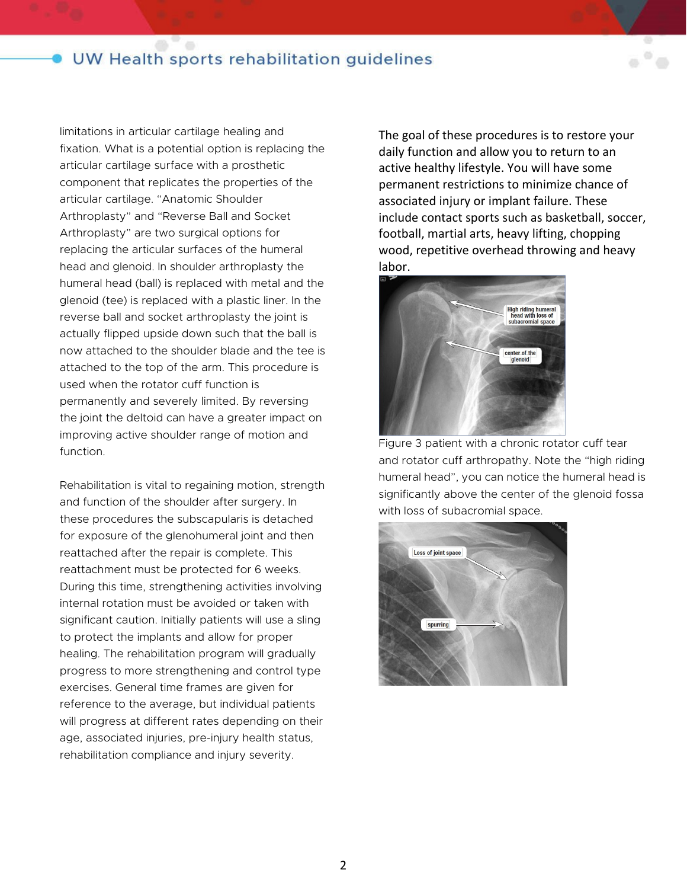#### UW Health sports rehabilitation guidelines

limitations in articular cartilage healing and fixation. What is a potential option is replacing the articular cartilage surface with a prosthetic component that replicates the properties of the articular cartilage. "Anatomic Shoulder Arthroplasty" and "Reverse Ball and Socket Arthroplasty" are two surgical options for replacing the articular surfaces of the humeral head and glenoid. In shoulder arthroplasty the humeral head (ball) is replaced with metal and the glenoid (tee) is replaced with a plastic liner. In the reverse ball and socket arthroplasty the joint is actually flipped upside down such that the ball is now attached to the shoulder blade and the tee is attached to the top of the arm. This procedure is used when the rotator cuff function is permanently and severely limited. By reversing the joint the deltoid can have a greater impact on improving active shoulder range of motion and function.

Rehabilitation is vital to regaining motion, strength and function of the shoulder after surgery. In these procedures the subscapularis is detached for exposure of the glenohumeral joint and then reattached after the repair is complete. This reattachment must be protected for 6 weeks. During this time, strengthening activities involving internal rotation must be avoided or taken with significant caution. Initially patients will use a sling to protect the implants and allow for proper healing. The rehabilitation program will gradually progress to more strengthening and control type exercises. General time frames are given for reference to the average, but individual patients will progress at different rates depending on their age, associated injuries, pre-injury health status, rehabilitation compliance and injury severity.

The goal of these procedures is to restore your daily function and allow you to return to an active healthy lifestyle. You will have some permanent restrictions to minimize chance of associated injury or implant failure. These include contact sports such as basketball, soccer, football, martial arts, heavy lifting, chopping wood, repetitive overhead throwing and heavy labor.



Figure 3 patient with a chronic rotator cuff tear and rotator cuff arthropathy. Note the "high riding humeral head", you can notice the humeral head is significantly above the center of the glenoid fossa with loss of subacromial space.

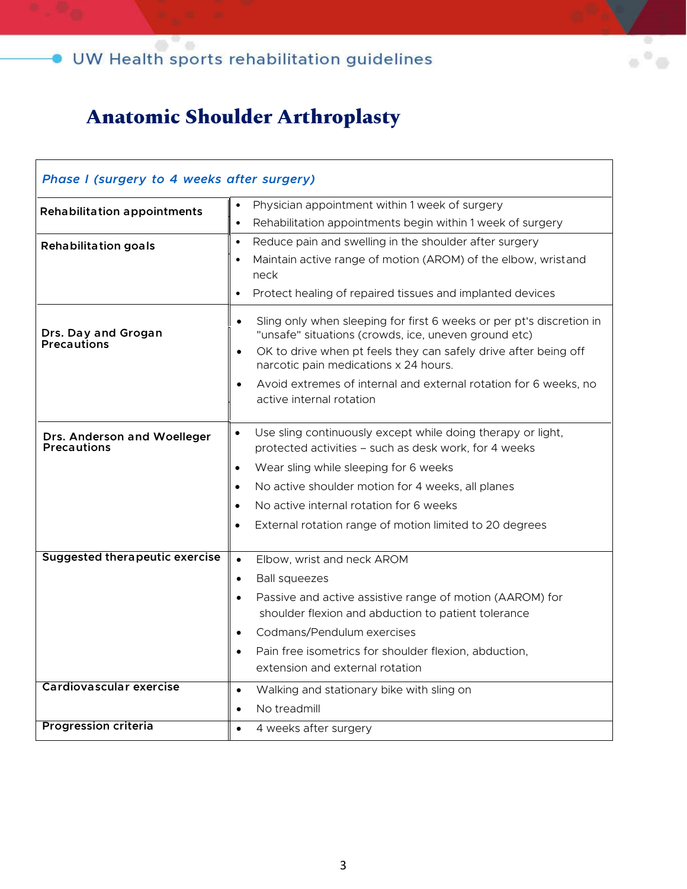Ø ö

### **Anatomic Shoulder Arthroplasty**

| Phase I (surgery to 4 weeks after surgery)        |                                                                                                                                                                                                                                                                    |
|---------------------------------------------------|--------------------------------------------------------------------------------------------------------------------------------------------------------------------------------------------------------------------------------------------------------------------|
| <b>Rehabilitation appointments</b>                | Physician appointment within 1 week of surgery                                                                                                                                                                                                                     |
|                                                   | Rehabilitation appointments begin within 1 week of surgery<br>$\bullet$                                                                                                                                                                                            |
| <b>Rehabilitation goals</b>                       | Reduce pain and swelling in the shoulder after surgery<br>$\bullet$                                                                                                                                                                                                |
|                                                   | Maintain active range of motion (AROM) of the elbow, wristand<br>$\bullet$<br>neck                                                                                                                                                                                 |
|                                                   | Protect healing of repaired tissues and implanted devices<br>$\bullet$                                                                                                                                                                                             |
| Drs. Day and Grogan<br><b>Precautions</b>         | Sling only when sleeping for first 6 weeks or per pt's discretion in<br>$\bullet$<br>"unsafe" situations (crowds, ice, uneven ground etc)<br>OK to drive when pt feels they can safely drive after being off<br>$\bullet$<br>narcotic pain medications x 24 hours. |
|                                                   | Avoid extremes of internal and external rotation for 6 weeks, no<br>$\bullet$<br>active internal rotation                                                                                                                                                          |
| Drs. Anderson and Woelleger<br><b>Precautions</b> | Use sling continuously except while doing therapy or light,<br>$\bullet$<br>protected activities - such as desk work, for 4 weeks                                                                                                                                  |
|                                                   | Wear sling while sleeping for 6 weeks<br>$\bullet$                                                                                                                                                                                                                 |
|                                                   | No active shoulder motion for 4 weeks, all planes<br>$\bullet$                                                                                                                                                                                                     |
|                                                   | No active internal rotation for 6 weeks<br>$\bullet$                                                                                                                                                                                                               |
|                                                   | External rotation range of motion limited to 20 degrees                                                                                                                                                                                                            |
| <b>Suggested therapeutic exercise</b>             | Elbow, wrist and neck AROM<br>$\bullet$                                                                                                                                                                                                                            |
|                                                   | <b>Ball squeezes</b><br>$\bullet$                                                                                                                                                                                                                                  |
|                                                   | Passive and active assistive range of motion (AAROM) for<br>$\bullet$<br>shoulder flexion and abduction to patient tolerance                                                                                                                                       |
|                                                   | Codmans/Pendulum exercises                                                                                                                                                                                                                                         |
|                                                   | Pain free isometrics for shoulder flexion, abduction,<br>$\bullet$                                                                                                                                                                                                 |
|                                                   | extension and external rotation                                                                                                                                                                                                                                    |
| Cardiovascular exercise                           | Walking and stationary bike with sling on<br>$\bullet$                                                                                                                                                                                                             |
|                                                   | No treadmill<br>$\bullet$                                                                                                                                                                                                                                          |
| <b>Progression criteria</b>                       | 4 weeks after surgery<br>$\bullet$                                                                                                                                                                                                                                 |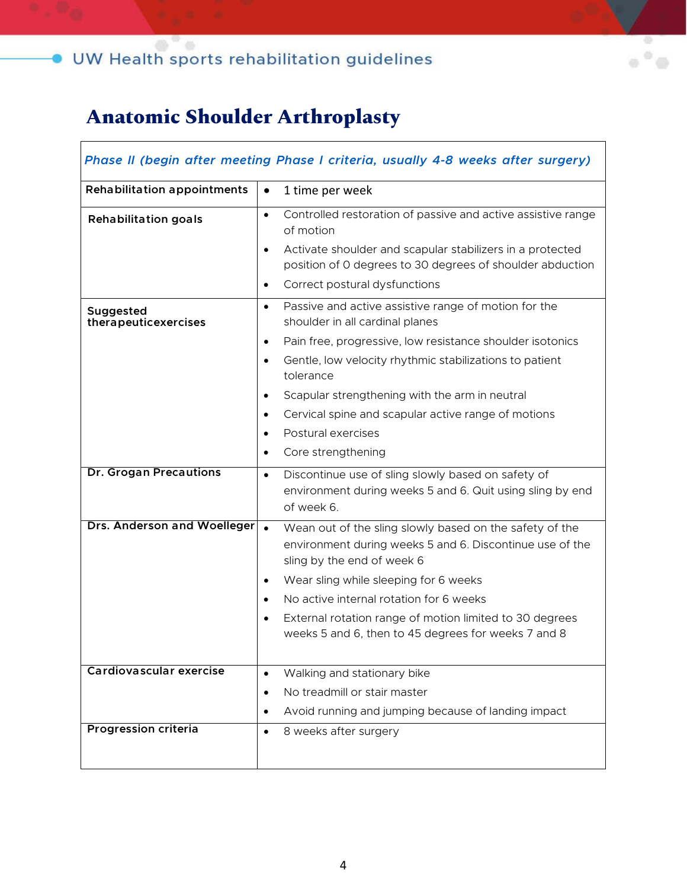### **Anatomic Shoulder Arthroplasty**

| Phase II (begin after meeting Phase I criteria, usually 4-8 weeks after surgery) |                                                                                                                                                                                                                                                                                                                                                                                                             |
|----------------------------------------------------------------------------------|-------------------------------------------------------------------------------------------------------------------------------------------------------------------------------------------------------------------------------------------------------------------------------------------------------------------------------------------------------------------------------------------------------------|
| <b>Rehabilitation appointments</b>                                               | 1 time per week<br>$\bullet$                                                                                                                                                                                                                                                                                                                                                                                |
| <b>Rehabilitation goals</b>                                                      | Controlled restoration of passive and active assistive range<br>$\bullet$<br>of motion                                                                                                                                                                                                                                                                                                                      |
|                                                                                  | Activate shoulder and scapular stabilizers in a protected<br>$\bullet$<br>position of 0 degrees to 30 degrees of shoulder abduction                                                                                                                                                                                                                                                                         |
|                                                                                  | Correct postural dysfunctions<br>$\bullet$                                                                                                                                                                                                                                                                                                                                                                  |
| Suggested<br>therapeuticexercises                                                | Passive and active assistive range of motion for the<br>$\bullet$<br>shoulder in all cardinal planes                                                                                                                                                                                                                                                                                                        |
|                                                                                  | Pain free, progressive, low resistance shoulder isotonics<br>$\bullet$<br>Gentle, low velocity rhythmic stabilizations to patient<br>$\bullet$<br>tolerance                                                                                                                                                                                                                                                 |
|                                                                                  | Scapular strengthening with the arm in neutral<br>$\bullet$<br>Cervical spine and scapular active range of motions<br>$\bullet$<br>Postural exercises<br>$\bullet$<br>Core strengthening<br>$\bullet$                                                                                                                                                                                                       |
| <b>Dr. Grogan Precautions</b>                                                    | Discontinue use of sling slowly based on safety of<br>$\bullet$<br>environment during weeks 5 and 6. Quit using sling by end<br>of week 6.                                                                                                                                                                                                                                                                  |
| Drs. Anderson and Woelleger                                                      | $\bullet$<br>Wean out of the sling slowly based on the safety of the<br>environment during weeks 5 and 6. Discontinue use of the<br>sling by the end of week 6<br>Wear sling while sleeping for 6 weeks<br>$\bullet$<br>No active internal rotation for 6 weeks<br>$\bullet$<br>External rotation range of motion limited to 30 degrees<br>$\bullet$<br>weeks 5 and 6, then to 45 degrees for weeks 7 and 8 |
| Cardiovascular exercise                                                          | Walking and stationary bike<br>$\bullet$<br>No treadmill or stair master<br>$\bullet$<br>Avoid running and jumping because of landing impact<br>$\bullet$                                                                                                                                                                                                                                                   |
| <b>Progression criteria</b>                                                      | 8 weeks after surgery<br>$\bullet$                                                                                                                                                                                                                                                                                                                                                                          |

 $\ddot{\circ}$ ö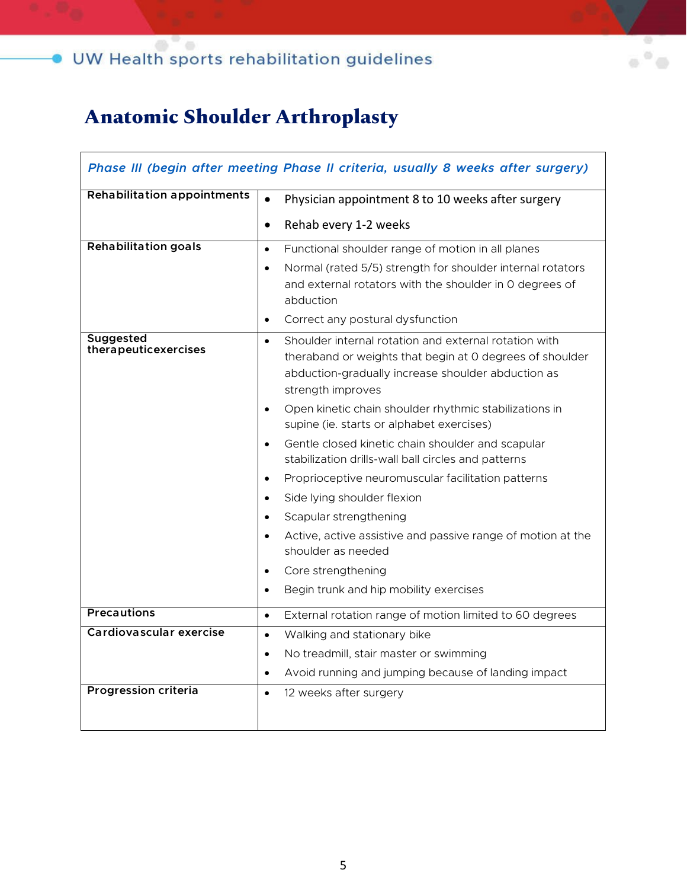## $\bullet$  UW Health sports rehabilitation guidelines

### **Anatomic Shoulder Arthroplasty**

| Phase III (begin after meeting Phase II criteria, usually 8 weeks after surgery) |                                                                                                                                                                                                           |
|----------------------------------------------------------------------------------|-----------------------------------------------------------------------------------------------------------------------------------------------------------------------------------------------------------|
| <b>Rehabilitation appointments</b>                                               | Physician appointment 8 to 10 weeks after surgery<br>$\bullet$                                                                                                                                            |
|                                                                                  | Rehab every 1-2 weeks<br>$\bullet$                                                                                                                                                                        |
| <b>Rehabilitation goals</b>                                                      | Functional shoulder range of motion in all planes<br>$\bullet$                                                                                                                                            |
|                                                                                  | Normal (rated 5/5) strength for shoulder internal rotators<br>$\bullet$<br>and external rotators with the shoulder in 0 degrees of<br>abduction                                                           |
|                                                                                  | Correct any postural dysfunction<br>$\bullet$                                                                                                                                                             |
| <b>Suggested</b><br>therapeuticexercises                                         | Shoulder internal rotation and external rotation with<br>$\bullet$<br>theraband or weights that begin at 0 degrees of shoulder<br>abduction-gradually increase shoulder abduction as<br>strength improves |
|                                                                                  | Open kinetic chain shoulder rhythmic stabilizations in<br>$\bullet$<br>supine (ie. starts or alphabet exercises)                                                                                          |
|                                                                                  | Gentle closed kinetic chain shoulder and scapular<br>$\bullet$<br>stabilization drills-wall ball circles and patterns                                                                                     |
|                                                                                  | Proprioceptive neuromuscular facilitation patterns<br>$\bullet$                                                                                                                                           |
|                                                                                  | Side lying shoulder flexion<br>$\bullet$                                                                                                                                                                  |
|                                                                                  | Scapular strengthening<br>$\bullet$                                                                                                                                                                       |
|                                                                                  | Active, active assistive and passive range of motion at the<br>$\bullet$<br>shoulder as needed                                                                                                            |
|                                                                                  | Core strengthening<br>$\bullet$                                                                                                                                                                           |
|                                                                                  | Begin trunk and hip mobility exercises<br>$\bullet$                                                                                                                                                       |
| <b>Precautions</b>                                                               | External rotation range of motion limited to 60 degrees<br>$\bullet$                                                                                                                                      |
| Cardiovascular exercise                                                          | Walking and stationary bike<br>$\bullet$                                                                                                                                                                  |
|                                                                                  | No treadmill, stair master or swimming<br>$\bullet$                                                                                                                                                       |
|                                                                                  | Avoid running and jumping because of landing impact<br>$\bullet$                                                                                                                                          |
| <b>Progression criteria</b>                                                      | 12 weeks after surgery<br>$\bullet$                                                                                                                                                                       |
|                                                                                  |                                                                                                                                                                                                           |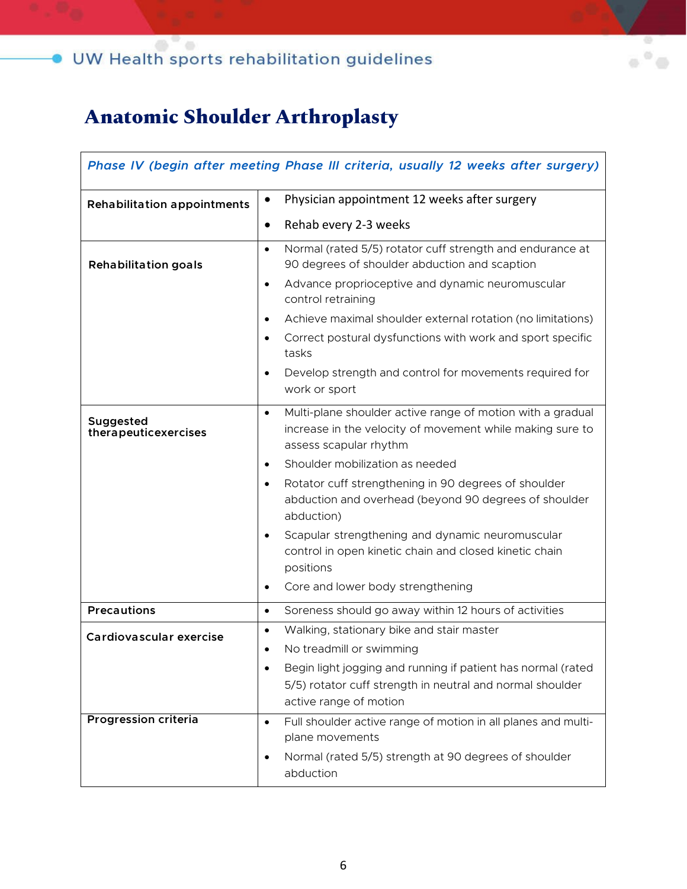## $\bullet$  UW Health sports rehabilitation guidelines

### **Anatomic Shoulder Arthroplasty**

| Phase IV (begin after meeting Phase III criteria, usually 12 weeks after surgery) |                                                                                                                                                                                                                                                                                                                                                                                                                                                        |
|-----------------------------------------------------------------------------------|--------------------------------------------------------------------------------------------------------------------------------------------------------------------------------------------------------------------------------------------------------------------------------------------------------------------------------------------------------------------------------------------------------------------------------------------------------|
| <b>Rehabilitation appointments</b>                                                | Physician appointment 12 weeks after surgery<br>$\bullet$                                                                                                                                                                                                                                                                                                                                                                                              |
|                                                                                   | Rehab every 2-3 weeks<br>$\bullet$                                                                                                                                                                                                                                                                                                                                                                                                                     |
| <b>Rehabilitation goals</b>                                                       | Normal (rated 5/5) rotator cuff strength and endurance at<br>$\bullet$<br>90 degrees of shoulder abduction and scaption<br>Advance proprioceptive and dynamic neuromuscular<br>$\bullet$<br>control retraining<br>Achieve maximal shoulder external rotation (no limitations)<br>$\bullet$<br>Correct postural dysfunctions with work and sport specific<br>$\bullet$<br>tasks<br>Develop strength and control for movements required for<br>$\bullet$ |
|                                                                                   | work or sport                                                                                                                                                                                                                                                                                                                                                                                                                                          |
| Suggested<br>therapeuticexercises                                                 | Multi-plane shoulder active range of motion with a gradual<br>$\bullet$<br>increase in the velocity of movement while making sure to<br>assess scapular rhythm                                                                                                                                                                                                                                                                                         |
|                                                                                   | Shoulder mobilization as needed<br>$\bullet$                                                                                                                                                                                                                                                                                                                                                                                                           |
|                                                                                   | Rotator cuff strengthening in 90 degrees of shoulder<br>$\bullet$<br>abduction and overhead (beyond 90 degrees of shoulder<br>abduction)                                                                                                                                                                                                                                                                                                               |
|                                                                                   | Scapular strengthening and dynamic neuromuscular<br>$\bullet$<br>control in open kinetic chain and closed kinetic chain<br>positions                                                                                                                                                                                                                                                                                                                   |
|                                                                                   | Core and lower body strengthening<br>$\bullet$                                                                                                                                                                                                                                                                                                                                                                                                         |
| <b>Precautions</b>                                                                | Soreness should go away within 12 hours of activities<br>$\bullet$                                                                                                                                                                                                                                                                                                                                                                                     |
| Cardiovascular exercise                                                           | Walking, stationary bike and stair master<br>$\bullet$<br>No treadmill or swimming<br>$\bullet$<br>Begin light jogging and running if patient has normal (rated<br>$\bullet$<br>5/5) rotator cuff strength in neutral and normal shoulder                                                                                                                                                                                                              |
| <b>Progression criteria</b>                                                       | active range of motion                                                                                                                                                                                                                                                                                                                                                                                                                                 |
|                                                                                   | Full shoulder active range of motion in all planes and multi-<br>$\bullet$<br>plane movements                                                                                                                                                                                                                                                                                                                                                          |
|                                                                                   | Normal (rated 5/5) strength at 90 degrees of shoulder<br>$\bullet$<br>abduction                                                                                                                                                                                                                                                                                                                                                                        |

 $\mathcal{O}$  $\alpha$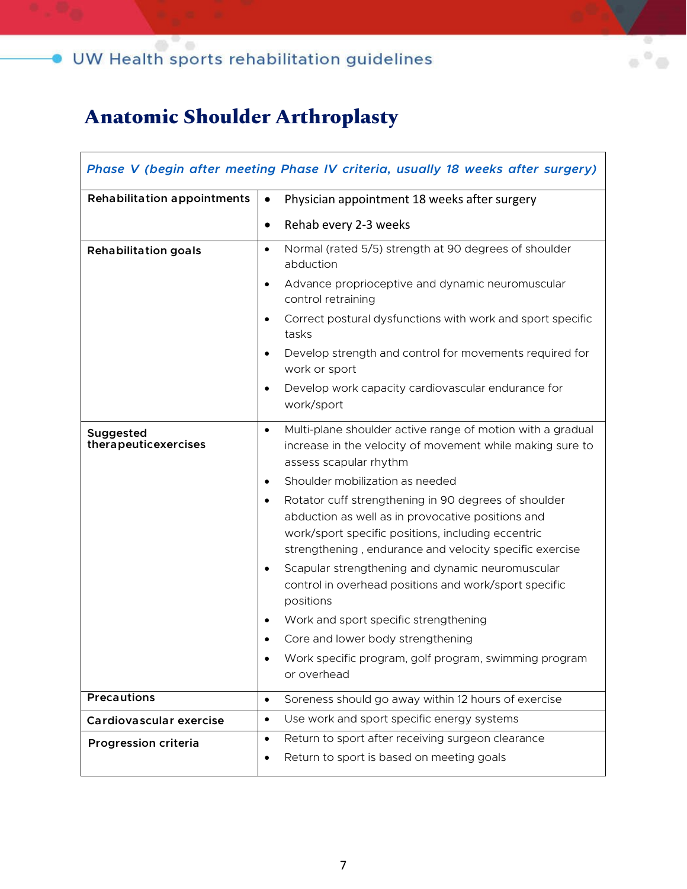## $\bullet$  UW Health sports rehabilitation guidelines

### **Anatomic Shoulder Arthroplasty**

| Phase V (begin after meeting Phase IV criteria, usually 18 weeks after surgery) |                                                                                                                                                                                                                                         |
|---------------------------------------------------------------------------------|-----------------------------------------------------------------------------------------------------------------------------------------------------------------------------------------------------------------------------------------|
| <b>Rehabilitation appointments</b>                                              | Physician appointment 18 weeks after surgery<br>$\bullet$                                                                                                                                                                               |
|                                                                                 | Rehab every 2-3 weeks<br>$\bullet$                                                                                                                                                                                                      |
| <b>Rehabilitation goals</b>                                                     | Normal (rated 5/5) strength at 90 degrees of shoulder<br>$\bullet$<br>abduction                                                                                                                                                         |
|                                                                                 | Advance proprioceptive and dynamic neuromuscular<br>$\bullet$<br>control retraining                                                                                                                                                     |
|                                                                                 | Correct postural dysfunctions with work and sport specific<br>$\bullet$<br>tasks                                                                                                                                                        |
|                                                                                 | Develop strength and control for movements required for<br>$\bullet$<br>work or sport                                                                                                                                                   |
|                                                                                 | Develop work capacity cardiovascular endurance for<br>$\bullet$<br>work/sport                                                                                                                                                           |
| Suggested<br>therapeuticexercises                                               | Multi-plane shoulder active range of motion with a gradual<br>$\bullet$<br>increase in the velocity of movement while making sure to<br>assess scapular rhythm                                                                          |
|                                                                                 | Shoulder mobilization as needed<br>$\bullet$                                                                                                                                                                                            |
|                                                                                 | Rotator cuff strengthening in 90 degrees of shoulder<br>$\bullet$<br>abduction as well as in provocative positions and<br>work/sport specific positions, including eccentric<br>strengthening, endurance and velocity specific exercise |
|                                                                                 | Scapular strengthening and dynamic neuromuscular<br>$\bullet$<br>control in overhead positions and work/sport specific<br>positions                                                                                                     |
|                                                                                 | Work and sport specific strengthening<br>$\bullet$                                                                                                                                                                                      |
|                                                                                 | Core and lower body strengthening                                                                                                                                                                                                       |
|                                                                                 | Work specific program, golf program, swimming program<br>or overhead                                                                                                                                                                    |
| <b>Precautions</b>                                                              | Soreness should go away within 12 hours of exercise<br>$\bullet$                                                                                                                                                                        |
| Cardiovascular exercise                                                         | Use work and sport specific energy systems<br>$\bullet$                                                                                                                                                                                 |
| Progression criteria                                                            | Return to sport after receiving surgeon clearance<br>$\bullet$<br>Return to sport is based on meeting goals<br>$\bullet$                                                                                                                |

 $\circledcirc$  $\alpha$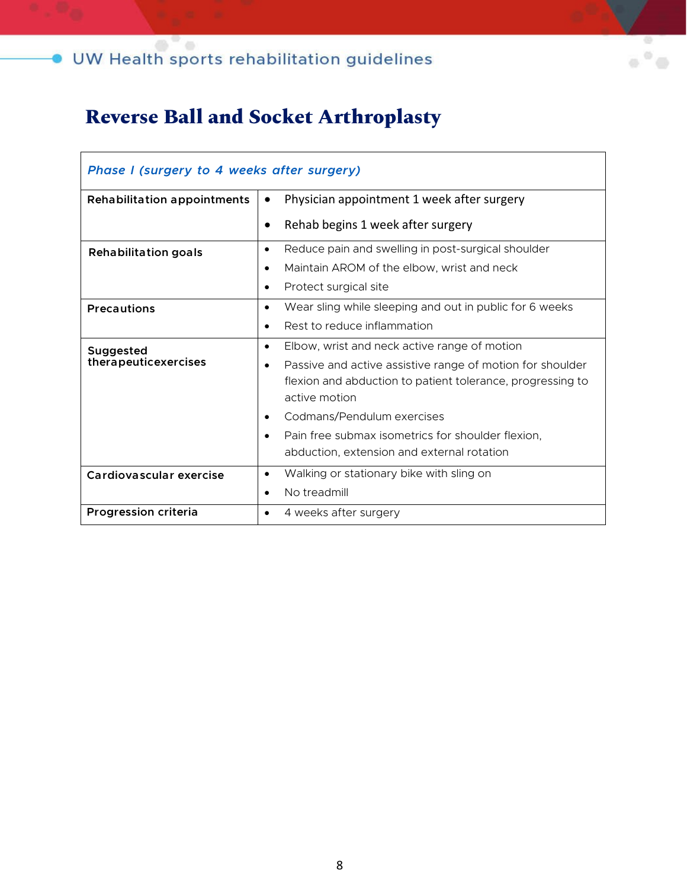### **Reverse Ball and Socket Arthroplasty**

| Phase I (surgery to 4 weeks after surgery) |                                                                                                                                                       |
|--------------------------------------------|-------------------------------------------------------------------------------------------------------------------------------------------------------|
| <b>Rehabilitation appointments</b>         | Physician appointment 1 week after surgery<br>$\bullet$                                                                                               |
|                                            | Rehab begins 1 week after surgery<br>$\bullet$                                                                                                        |
| <b>Rehabilitation goals</b>                | Reduce pain and swelling in post-surgical shoulder<br>$\bullet$                                                                                       |
|                                            | Maintain AROM of the elbow, wrist and neck<br>$\bullet$                                                                                               |
|                                            | Protect surgical site<br>$\bullet$                                                                                                                    |
| <b>Precautions</b>                         | Wear sling while sleeping and out in public for 6 weeks<br>$\bullet$                                                                                  |
|                                            | Rest to reduce inflammation<br>$\bullet$                                                                                                              |
| Suggested                                  | Elbow, wrist and neck active range of motion<br>$\bullet$                                                                                             |
| therapeuticexercises                       | Passive and active assistive range of motion for shoulder<br>$\bullet$<br>flexion and abduction to patient tolerance, progressing to<br>active motion |
|                                            | Codmans/Pendulum exercises<br>$\bullet$                                                                                                               |
|                                            | Pain free submax isometrics for shoulder flexion,<br>$\bullet$<br>abduction, extension and external rotation                                          |
| Cardiovascular exercise                    | Walking or stationary bike with sling on<br>$\bullet$                                                                                                 |
|                                            | No treadmill<br>$\bullet$                                                                                                                             |
| Progression criteria                       | 4 weeks after surgery<br>$\bullet$                                                                                                                    |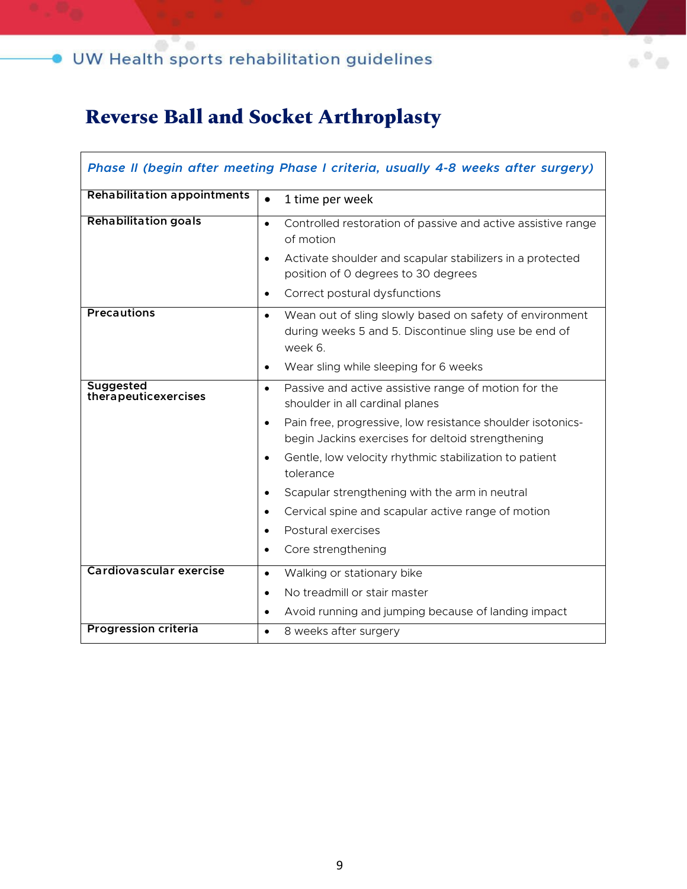### **Reverse Ball and Socket Arthroplasty**

| Phase II (begin after meeting Phase I criteria, usually 4-8 weeks after surgery) |                                                                                                                                                                  |
|----------------------------------------------------------------------------------|------------------------------------------------------------------------------------------------------------------------------------------------------------------|
| <b>Rehabilitation appointments</b>                                               | $\bullet$<br>1 time per week                                                                                                                                     |
| <b>Rehabilitation goals</b>                                                      | Controlled restoration of passive and active assistive range<br>$\bullet$<br>of motion<br>Activate shoulder and scapular stabilizers in a protected<br>$\bullet$ |
|                                                                                  | position of 0 degrees to 30 degrees                                                                                                                              |
|                                                                                  | Correct postural dysfunctions<br>$\bullet$                                                                                                                       |
| <b>Precautions</b>                                                               | Wean out of sling slowly based on safety of environment<br>$\bullet$<br>during weeks 5 and 5. Discontinue sling use be end of<br>week 6                          |
|                                                                                  | Wear sling while sleeping for 6 weeks<br>$\bullet$                                                                                                               |
| <b>Suggested</b><br>therapeuticexercises                                         | Passive and active assistive range of motion for the<br>$\bullet$<br>shoulder in all cardinal planes                                                             |
|                                                                                  | Pain free, progressive, low resistance shoulder isotonics-<br>$\bullet$<br>begin Jackins exercises for deltoid strengthening                                     |
|                                                                                  | Gentle, low velocity rhythmic stabilization to patient<br>$\bullet$<br>tolerance                                                                                 |
|                                                                                  | Scapular strengthening with the arm in neutral<br>$\bullet$                                                                                                      |
|                                                                                  | Cervical spine and scapular active range of motion<br>$\bullet$                                                                                                  |
|                                                                                  | Postural exercises<br>$\bullet$                                                                                                                                  |
|                                                                                  | Core strengthening<br>$\bullet$                                                                                                                                  |
| Cardiovascular exercise                                                          | Walking or stationary bike<br>$\bullet$                                                                                                                          |
|                                                                                  | No treadmill or stair master<br>$\bullet$                                                                                                                        |
|                                                                                  | Avoid running and jumping because of landing impact<br>$\bullet$                                                                                                 |
| <b>Progression criteria</b>                                                      | 8 weeks after surgery<br>$\bullet$                                                                                                                               |

Ø ö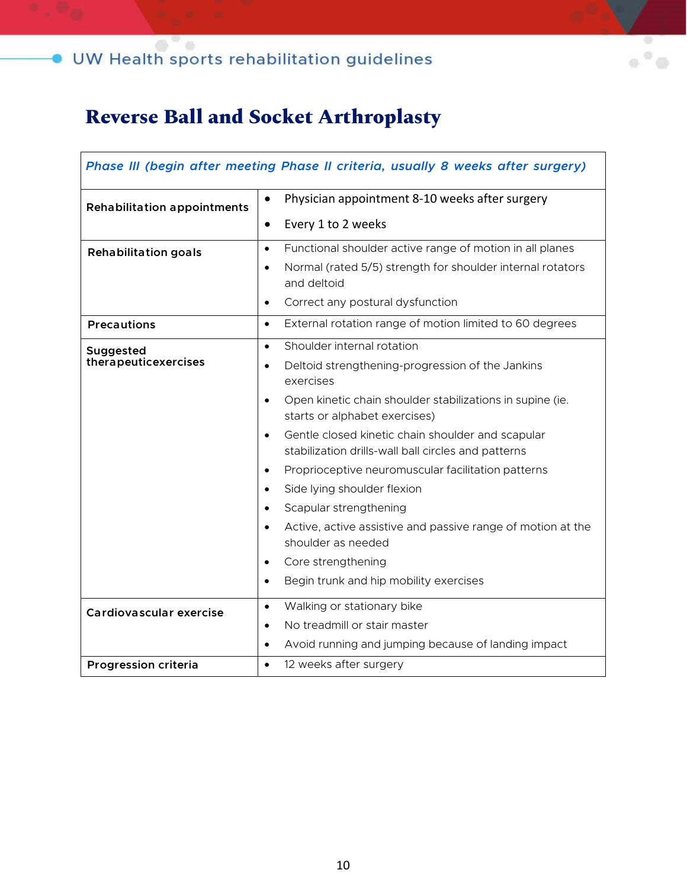### **Reverse Ball and Socket Arthroplasty**

| Phase III (begin after meeting Phase II criteria, usually 8 weeks after surgery) |                                                                                                                       |
|----------------------------------------------------------------------------------|-----------------------------------------------------------------------------------------------------------------------|
| <b>Rehabilitation appointments</b>                                               | Physician appointment 8-10 weeks after surgery<br>$\bullet$                                                           |
|                                                                                  | Every 1 to 2 weeks<br>$\bullet$                                                                                       |
| <b>Rehabilitation goals</b>                                                      | Functional shoulder active range of motion in all planes<br>$\bullet$                                                 |
|                                                                                  | Normal (rated 5/5) strength for shoulder internal rotators<br>$\bullet$<br>and deltoid                                |
|                                                                                  | Correct any postural dysfunction<br>$\bullet$                                                                         |
| <b>Precautions</b>                                                               | External rotation range of motion limited to 60 degrees<br>$\bullet$                                                  |
| Suggested                                                                        | Shoulder internal rotation<br>$\bullet$                                                                               |
| therapeuticexercises                                                             | Deltoid strengthening-progression of the Jankins<br>$\bullet$<br>exercises                                            |
|                                                                                  | Open kinetic chain shoulder stabilizations in supine (ie.<br>$\bullet$<br>starts or alphabet exercises)               |
|                                                                                  | Gentle closed kinetic chain shoulder and scapular<br>$\bullet$<br>stabilization drills-wall ball circles and patterns |
|                                                                                  | Proprioceptive neuromuscular facilitation patterns<br>$\bullet$                                                       |
|                                                                                  | Side lying shoulder flexion<br>$\bullet$                                                                              |
|                                                                                  | Scapular strengthening<br>$\bullet$                                                                                   |
|                                                                                  | Active, active assistive and passive range of motion at the<br>$\bullet$<br>shoulder as needed                        |
|                                                                                  | Core strengthening<br>$\bullet$                                                                                       |
|                                                                                  | Begin trunk and hip mobility exercises<br>$\bullet$                                                                   |
| Cardiovascular exercise                                                          | Walking or stationary bike<br>$\bullet$                                                                               |
|                                                                                  | No treadmill or stair master<br>$\bullet$                                                                             |
|                                                                                  | Avoid running and jumping because of landing impact<br>$\bullet$                                                      |
| <b>Progression criteria</b>                                                      | 12 weeks after surgery<br>$\bullet$                                                                                   |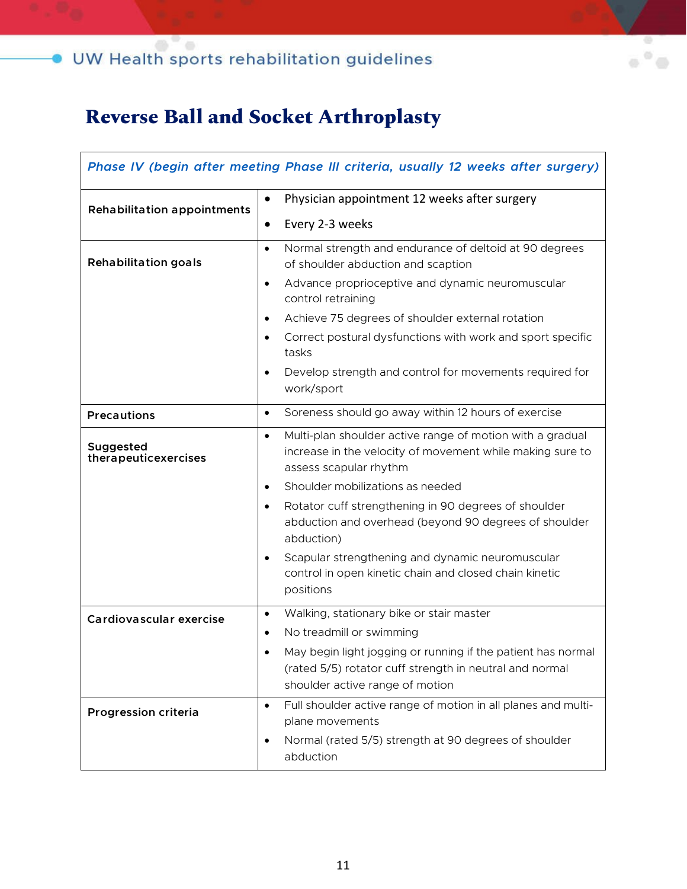### O UW Health sports rehabilitation guidelines

### **Reverse Ball and Socket Arthroplasty**

| Phase IV (begin after meeting Phase III criteria, usually 12 weeks after surgery) |                                                                                                                                                               |
|-----------------------------------------------------------------------------------|---------------------------------------------------------------------------------------------------------------------------------------------------------------|
| <b>Rehabilitation appointments</b>                                                | Physician appointment 12 weeks after surgery<br>$\bullet$                                                                                                     |
|                                                                                   | Every 2-3 weeks<br>$\bullet$                                                                                                                                  |
| <b>Rehabilitation goals</b>                                                       | Normal strength and endurance of deltoid at 90 degrees<br>$\bullet$<br>of shoulder abduction and scaption                                                     |
|                                                                                   | Advance proprioceptive and dynamic neuromuscular<br>$\bullet$<br>control retraining                                                                           |
|                                                                                   | Achieve 75 degrees of shoulder external rotation<br>$\bullet$                                                                                                 |
|                                                                                   | Correct postural dysfunctions with work and sport specific<br>$\bullet$<br>tasks                                                                              |
|                                                                                   | Develop strength and control for movements required for<br>$\bullet$<br>work/sport                                                                            |
| <b>Precautions</b>                                                                | Soreness should go away within 12 hours of exercise<br>$\bullet$                                                                                              |
| Suggested<br>therapeuticexercises                                                 | Multi-plan shoulder active range of motion with a gradual<br>$\bullet$<br>increase in the velocity of movement while making sure to<br>assess scapular rhythm |
|                                                                                   | Shoulder mobilizations as needed<br>$\bullet$                                                                                                                 |
|                                                                                   | Rotator cuff strengthening in 90 degrees of shoulder<br>$\bullet$<br>abduction and overhead (beyond 90 degrees of shoulder<br>abduction)                      |
|                                                                                   | Scapular strengthening and dynamic neuromuscular<br>$\bullet$<br>control in open kinetic chain and closed chain kinetic<br>positions                          |
| Cardiovascular exercise                                                           | Walking, stationary bike or stair master<br>$\bullet$                                                                                                         |
|                                                                                   | No treadmill or swimming                                                                                                                                      |
|                                                                                   | May begin light jogging or running if the patient has normal<br>(rated 5/5) rotator cuff strength in neutral and normal<br>shoulder active range of motion    |
| Progression criteria                                                              | Full shoulder active range of motion in all planes and multi-<br>$\bullet$<br>plane movements                                                                 |
|                                                                                   | Normal (rated 5/5) strength at 90 degrees of shoulder<br>$\bullet$<br>abduction                                                                               |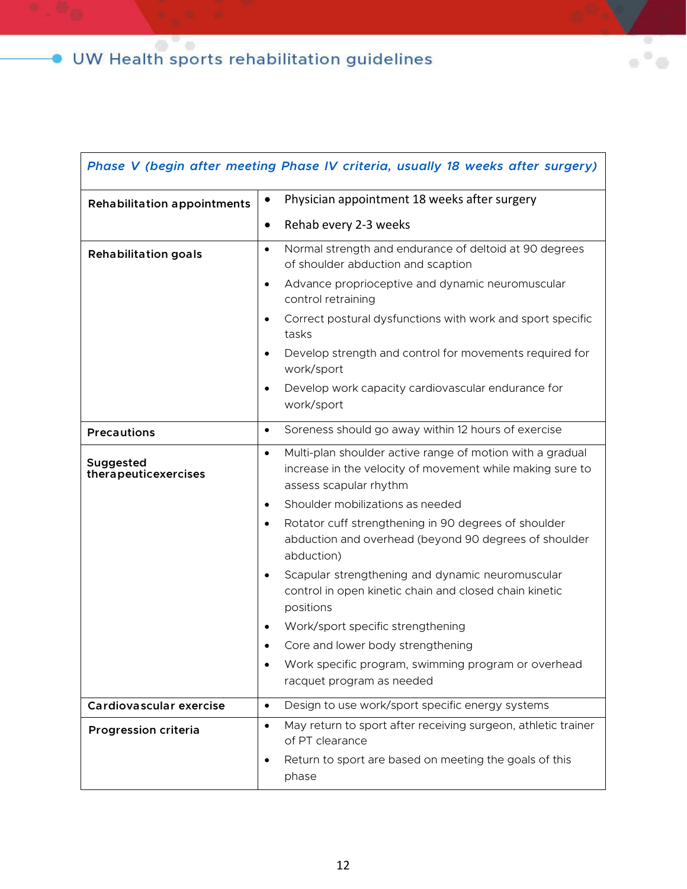| Phase V (begin after meeting Phase IV criteria, usually 18 weeks after surgery) |                                                                                                                                                               |
|---------------------------------------------------------------------------------|---------------------------------------------------------------------------------------------------------------------------------------------------------------|
| <b>Rehabilitation appointments</b>                                              | Physician appointment 18 weeks after surgery<br>$\bullet$                                                                                                     |
|                                                                                 | Rehab every 2-3 weeks<br>$\bullet$                                                                                                                            |
| <b>Rehabilitation goals</b>                                                     | Normal strength and endurance of deltoid at 90 degrees<br>$\bullet$<br>of shoulder abduction and scaption                                                     |
|                                                                                 | Advance proprioceptive and dynamic neuromuscular<br>$\bullet$<br>control retraining                                                                           |
|                                                                                 | Correct postural dysfunctions with work and sport specific<br>$\bullet$<br>tasks                                                                              |
|                                                                                 | Develop strength and control for movements required for<br>$\bullet$<br>work/sport                                                                            |
|                                                                                 | Develop work capacity cardiovascular endurance for<br>$\bullet$<br>work/sport                                                                                 |
| <b>Precautions</b>                                                              | Soreness should go away within 12 hours of exercise<br>$\bullet$                                                                                              |
| Suggested<br>therapeuticexercises                                               | Multi-plan shoulder active range of motion with a gradual<br>$\bullet$<br>increase in the velocity of movement while making sure to<br>assess scapular rhythm |
|                                                                                 | Shoulder mobilizations as needed<br>$\bullet$                                                                                                                 |
|                                                                                 | Rotator cuff strengthening in 90 degrees of shoulder<br>$\bullet$<br>abduction and overhead (beyond 90 degrees of shoulder<br>abduction)                      |
|                                                                                 | Scapular strengthening and dynamic neuromuscular<br>$\bullet$<br>control in open kinetic chain and closed chain kinetic<br>positions                          |
|                                                                                 | Work/sport specific strengthening<br>$\bullet$                                                                                                                |
|                                                                                 | Core and lower body strengthening                                                                                                                             |
|                                                                                 | Work specific program, swimming program or overhead<br>$\bullet$<br>racquet program as needed                                                                 |
| Cardiovascular exercise                                                         | Design to use work/sport specific energy systems<br>$\bullet$                                                                                                 |
| Progression criteria                                                            | May return to sport after receiving surgeon, athletic trainer<br>$\bullet$<br>of PT clearance                                                                 |
|                                                                                 | Return to sport are based on meeting the goals of this<br>$\bullet$<br>phase                                                                                  |

 $\alpha$   $^{\rm o}$   $\alpha$